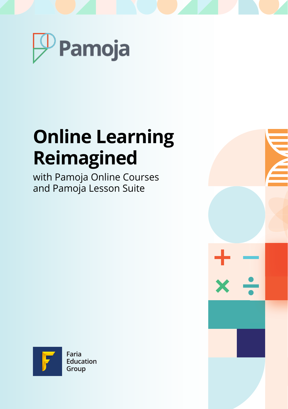

# **Online Learning Reimagined**

with Pamoja Online Courses and Pamoja Lesson Suite



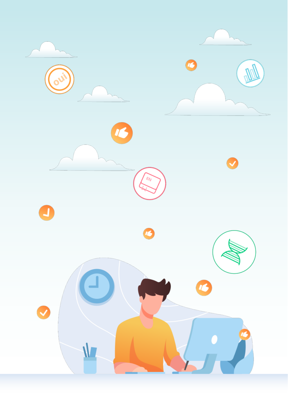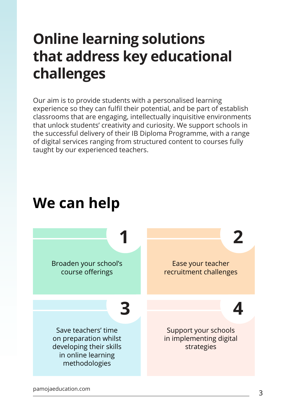## **Online learning solutions that address key educational challenges**

Our aim is to provide students with a personalised learning experience so they can fulfil their potential, and be part of establish classrooms that are engaging, intellectually inquisitive environments that unlock students' creativity and curiosity. We support schools in the successful delivery of their IB Diploma Programme, with a range of digital services ranging from structured content to courses fully taught by our experienced teachers.

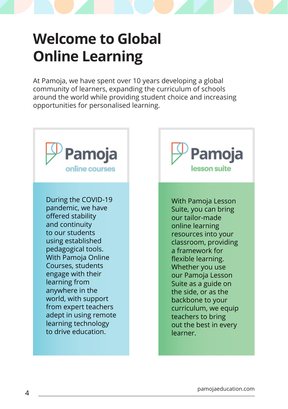### **Welcome to Global Online Learning**

At Pamoja, we have spent over 10 years developing a global community of learners, expanding the curriculum of schools around the world while providing student choice and increasing opportunities for personalised learning.



During the COVID-19 pandemic, we have offered stability and continuity to our students using established pedagogical tools. With Pamoja Online Courses, students engage with their learning from anywhere in the world, with support from expert teachers adept in using remote learning technology to drive education.



With Pamoja Lesson Suite, you can bring our tailor-made online learning resources into your classroom, providing a framework for flexible learning. Whether you use our Pamoja Lesson Suite as a guide on the side, or as the backbone to your curriculum, we equip teachers to bring out the best in every learner.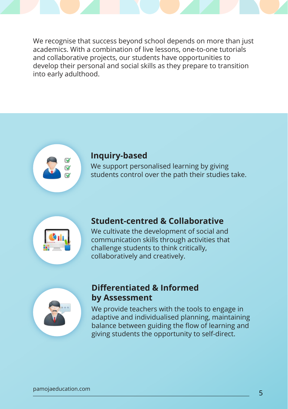

We recognise that success beyond school depends on more than just academics. With a combination of live lessons, one-to-one tutorials and collaborative projects, our students have opportunities to develop their personal and social skills as they prepare to transition into early adulthood.



#### **Inquiry-based**

We support personalised learning by giving students control over the path their studies take.



#### **Student-centred & Collaborative**

We cultivate the development of social and communication skills through activities that challenge students to think critically, collaboratively and creatively.



#### **Differentiated & Informed by Assessment**

We provide teachers with the tools to engage in adaptive and individualised planning, maintaining balance between guiding the flow of learning and giving students the opportunity to self-direct.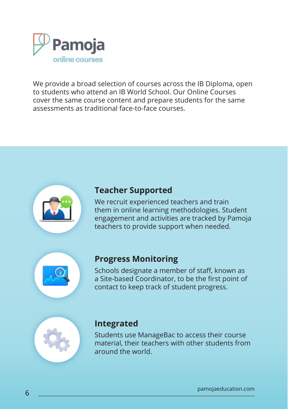

We provide a broad selection of courses across the IB Diploma, open to students who attend an IB World School. Our Online Courses cover the same course content and prepare students for the same assessments as traditional face-to-face courses.



#### **Teacher Supported**

We recruit experienced teachers and train them in online learning methodologies. Student engagement and activities are tracked by Pamoja teachers to provide support when needed.



#### **Progress Monitoring**

Schools designate a member of staff, known as a Site-based Coordinator, to be the first point of contact to keep track of student progress.



#### **Integrated**

Students use ManageBac to access their course material, their teachers with other students from around the world.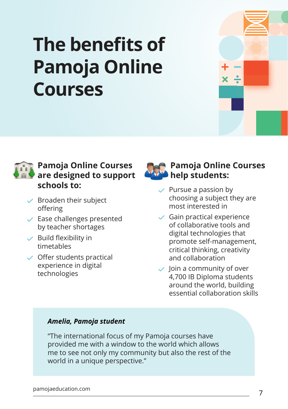# **The benefits of Pamoja Online Courses**





### **Pamoja Online Courses are designed to support schools to:**  $\vee$  Pursue a passion by

- $\vee$  Broaden their subject offering
- $\checkmark$  Ease challenges presented by teacher shortages
- $\vee$  Build flexibility in timetables
- $\vee$  Offer students practical experience in digital technologies



### **Pamoja Online Courses help students:**<br>help students:

- choosing a subject they are most interested in
- $\checkmark$  Gain practical experience of collaborative tools and digital technologies that promote self-management, critical thinking, creativity and collaboration
- $\vee$  Join a community of over 4,700 IB Diploma students around the world, building essential collaboration skills

#### *Amelia, Pamoja student*

"The international focus of my Pamoja courses have provided me with a window to the world which allows me to see not only my community but also the rest of the world in a unique perspective."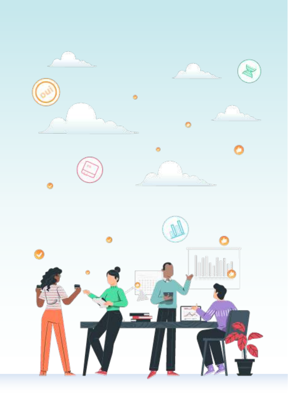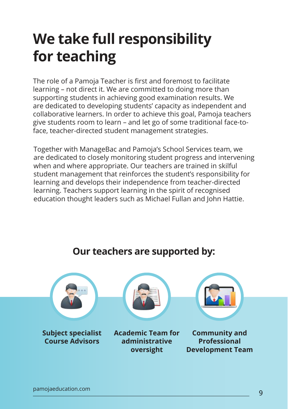## **We take full responsibility for teaching**

The role of a Pamoja Teacher is first and foremost to facilitate learning – not direct it. We are committed to doing more than supporting students in achieving good examination results. We are dedicated to developing students' capacity as independent and collaborative learners. In order to achieve this goal, Pamoja teachers give students room to learn – and let go of some traditional face-toface, teacher-directed student management strategies.

Together with ManageBac and Pamoja's School Services team, we are dedicated to closely monitoring student progress and intervening when and where appropriate. Our teachers are trained in skilful student management that reinforces the student's responsibility for learning and develops their independence from teacher-directed learning. Teachers support learning in the spirit of recognised education thought leaders such as Michael Fullan and John Hattie.

#### **Our teachers are supported by:**

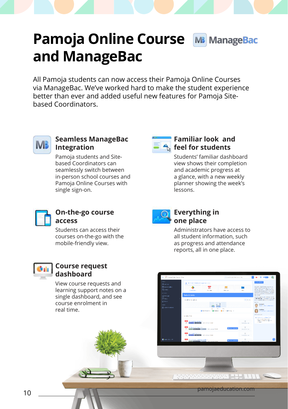

### **Pamoja Online Course MB ManageBac and ManageBac**

All Pamoja students can now access their Pamoja Online Courses via ManageBac. We've worked hard to make the student experience better than ever and added useful new features for Pamoja Sitebased Coordinators.



#### **Seamless ManageBac Integration**

Pamoja students and Sitebased Coordinators can seamlessly switch between in-person school courses and Pamoja Online Courses with single sign-on.



#### **Familiar look and feel for students**

Students' familiar dashboard view shows their completion and academic progress at a glance, with a new weekly planner showing the week's lessons.



#### **On-the-go course access**

Students can access their courses on-the-go with the mobile-friendly view.



#### **Course request dashboard**

View course requests and learning support notes on a single dashboard, and see course enrolment in real time.



#### **Everything in one place**

Administrators have access to all student information, such as progress and attendance reports, all in one place.

 $... 101$ 



<sup>10</sup> pamojaeducation.com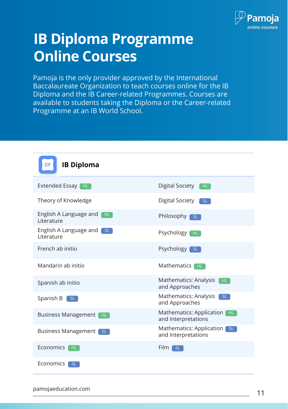

### **IB Diploma Programme Online Courses**

Pamoja is the only provider approved by the International Baccalaureate Organization to teach courses online for the IB Diploma and the IB Career-related Programmes. Courses are available to students taking the Diploma or the Career-related Programme at an IB World School.

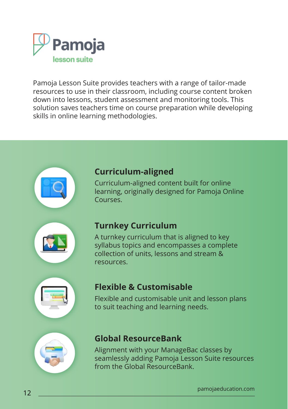

Pamoja Lesson Suite provides teachers with a range of tailor-made resources to use in their classroom, including course content broken down into lessons, student assessment and monitoring tools. This solution saves teachers time on course preparation while developing skills in online learning methodologies.



#### **Curriculum-aligned**

Curriculum-aligned content built for online learning, originally designed for Pamoja Online Courses.



#### **Turnkey Curriculum**

A turnkey curriculum that is aligned to key syllabus topics and encompasses a complete collection of units, lessons and stream & resources.



#### **Flexible & Customisable**

Flexible and customisable unit and lesson plans to suit teaching and learning needs.



#### **Global ResourceBank**

Alignment with your ManageBac classes by seamlessly adding Pamoja Lesson Suite resources from the Global ResourceBank.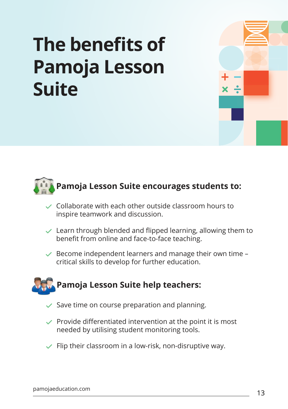# **The benefits of Pamoja Lesson Suite**



- $\vee$  Collaborate with each other outside classroom hours to inspire teamwork and discussion.
- $\vee$  Learn through blended and flipped learning, allowing them to benefit from online and face-to-face teaching.
- $\vee$  Become independent learners and manage their own time critical skills to develop for further education.

### **Pamoja Lesson Suite help teachers:**

- $\checkmark$  Save time on course preparation and planning.
- $\vee$  Provide differentiated intervention at the point it is most needed by utilising student monitoring tools.
- $\vee$  Flip their classroom in a low-risk, non-disruptive way.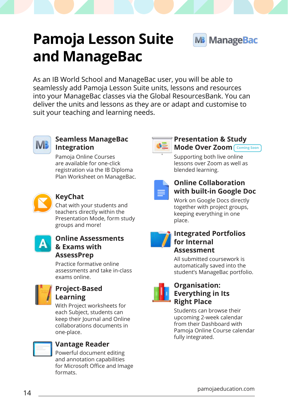

### **Pamoja Lesson Suite and ManageBac**

As an IB World School and ManageBac user, you will be able to seamlessly add Pamoja Lesson Suite units, lessons and resources into your ManageBac classes via the Global ResourcesBank. You can deliver the units and lessons as they are or adapt and customise to suit your teaching and learning needs.



#### **Seamless ManageBac Integration**

Pamoja Online Courses are available for one-click registration via the IB Diploma Plan Worksheet on ManageBac.



#### **KeyChat**

Chat with your students and teachers directly within the Presentation Mode, form study groups and more!



#### **Online Assessments & Exams with AssessPrep**

Practice formative online assessments and take in-class exams online.



#### **Project-Based Learning**

With Project worksheets for each Subject, students can keep their Journal and Online collaborations documents in one-place.



#### **Vantage Reader**

Powerful document editing and annotation capabilities for Microsoft Office and Image formats.



#### **Presentation & Study Mode Over Zoom** [ Coming Soon

**ME** ManageBac

Supporting both live online lessons over Zoom as well as blended learning.

#### **Online Collaboration with built-in Google Doc**

Work on Google Docs directly together with project groups, keeping everything in one place.



#### **Integrated Portfolios for Internal Assessment**

All submitted coursework is automatically saved into the student's ManageBac portfolio.



#### **Organisation: Everything in Its Right Place**

Students can browse their upcoming 2-week calendar from their Dashboard with Pamoja Online Course calendar fully integrated.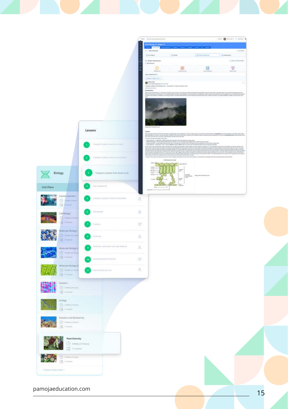



pamojaeducation.com <sup>15</sup>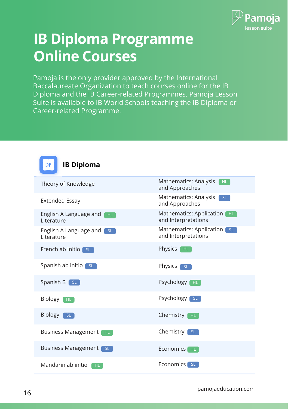

### **IB Diploma Programme Online Courses**

Pamoja is the only provider approved by the International Baccalaureate Organization to teach courses online for the IB Diploma and the IB Career-related Programmes. Pamoja Lesson Suite is available to IB World Schools teaching the IB Diploma or Career-related Programme.

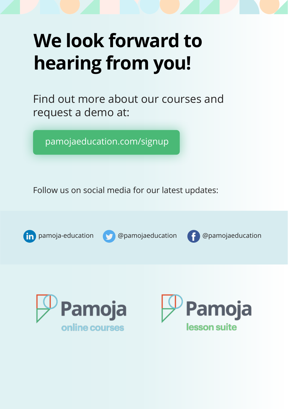# **We look forward to hearing from you!**

Find out more about our courses and request a demo at:

pamojaeducation.com/signup

Follow us on social media for our latest updates:







**fin** pamoja-education **@pamojaeducation & @pamojaeducation**